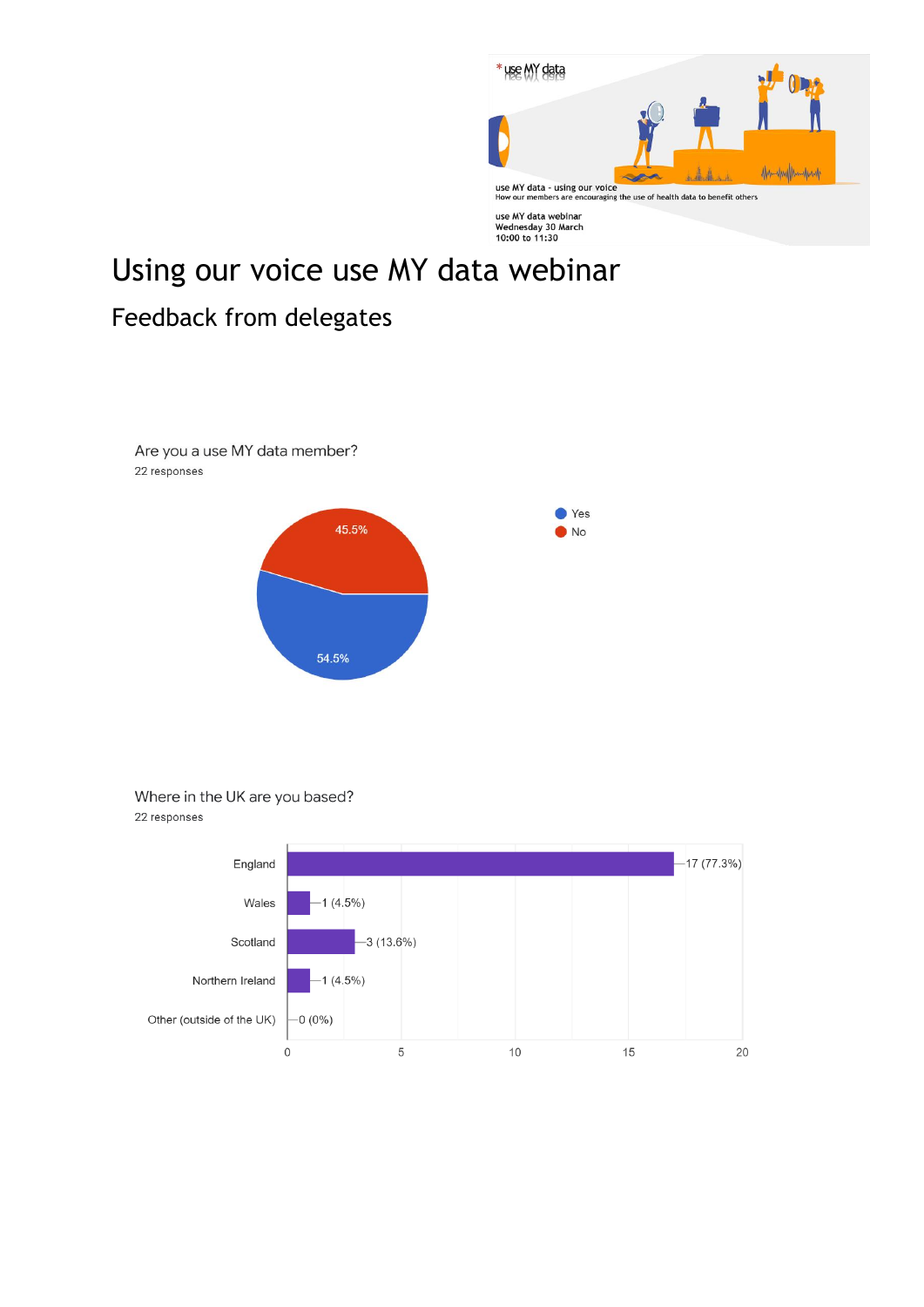

# Using our voice use MY data webinar

# Feedback from delegates

Are you a use MY data member?

22 responses



#### Where in the UK are you based? 22 responses

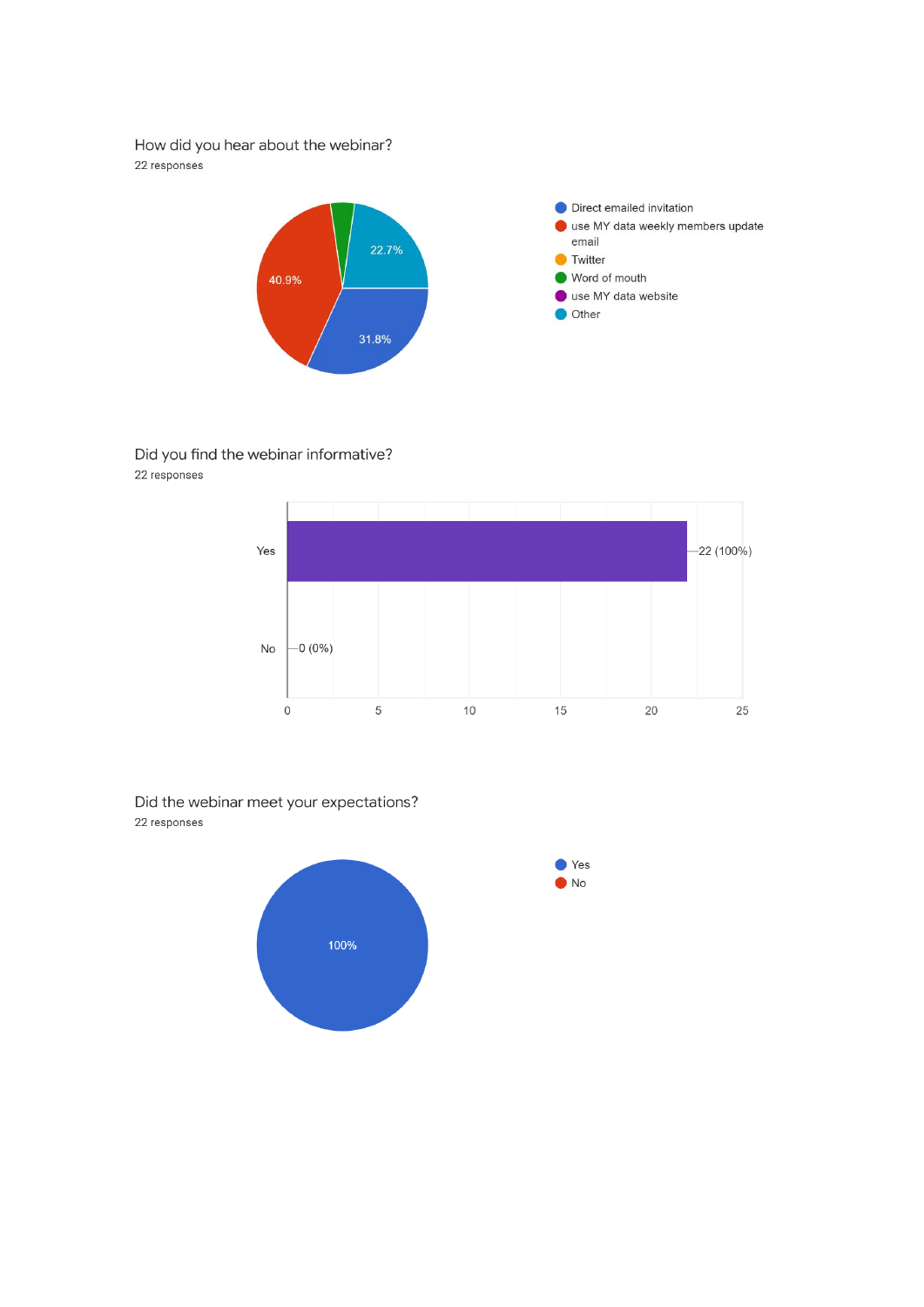### How did you hear about the webinar?

22 responses



# Did you find the webinar informative?

22 responses



Did the webinar meet your expectations? 22 responses

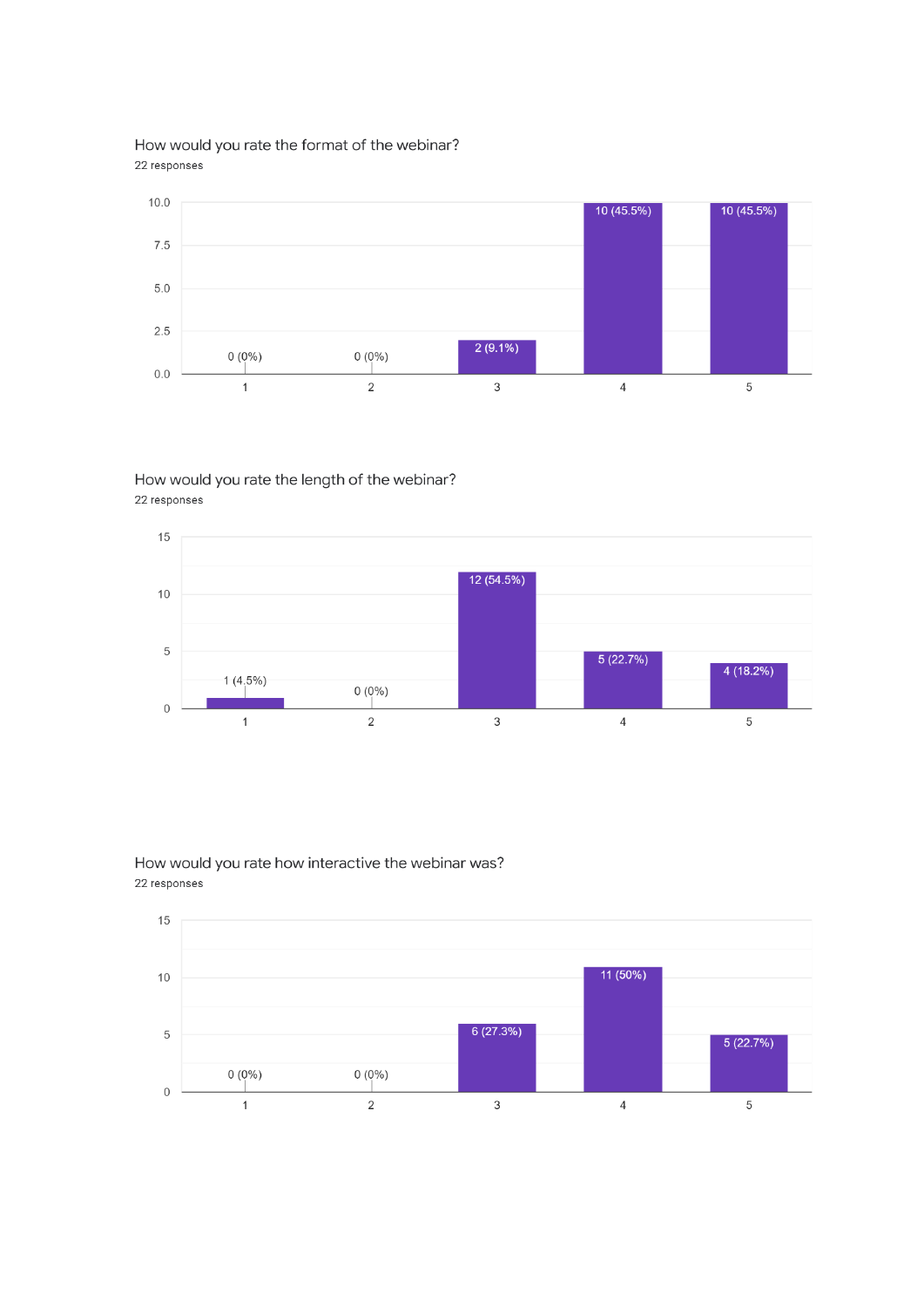How would you rate the format of the webinar? 22 responses



#### How would you rate the length of the webinar? 22 responses



How would you rate how interactive the webinar was? 22 responses